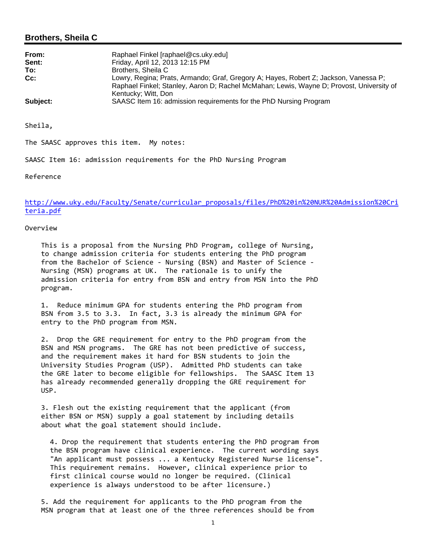# **Brothers, Sheila C**

| From:    | Raphael Finkel [raphael@cs.uky.edu]                                                                                                                                                                     |
|----------|---------------------------------------------------------------------------------------------------------------------------------------------------------------------------------------------------------|
| Sent:    | Friday, April 12, 2013 12:15 PM                                                                                                                                                                         |
| To:      | Brothers, Sheila C                                                                                                                                                                                      |
| Cc:      | Lowry, Regina; Prats, Armando; Graf, Gregory A; Hayes, Robert Z; Jackson, Vanessa P;<br>Raphael Finkel; Stanley, Aaron D; Rachel McMahan; Lewis, Wayne D; Provost, University of<br>Kentucky; Witt, Don |
| Subject: | SAASC Item 16: admission requirements for the PhD Nursing Program                                                                                                                                       |

Sheila,

The SAASC approves this item. My notes:

SAASC Item 16: admission requirements for the PhD Nursing Program

Reference

http://www.uky.edu/Faculty/Senate/curricular\_proposals/files/PhD%20in%20NUR%20Admission%20Cri teria.pdf

Overview

 This is a proposal from the Nursing PhD Program, college of Nursing, to change admission criteria for students entering the PhD program from the Bachelor of Science ‐ Nursing (BSN) and Master of Science ‐ Nursing (MSN) programs at UK. The rationale is to unify the admission criteria for entry from BSN and entry from MSN into the PhD program.

 1. Reduce minimum GPA for students entering the PhD program from BSN from 3.5 to 3.3. In fact, 3.3 is already the minimum GPA for entry to the PhD program from MSN.

 2. Drop the GRE requirement for entry to the PhD program from the BSN and MSN programs. The GRE has not been predictive of success, and the requirement makes it hard for BSN students to join the University Studies Program (USP). Admitted PhD students can take the GRE later to become eligible for fellowships. The SAASC Item 13 has already recommended generally dropping the GRE requirement for USP.

 3. Flesh out the existing requirement that the applicant (from either BSN or MSN) supply a goal statement by including details about what the goal statement should include.

4. Drop the requirement that students entering the PhD program from the BSN program have clinical experience. The current wording says "An applicant must possess ... a Kentucky Registered Nurse license". This requirement remains. However, clinical experience prior to first clinical course would no longer be required. (Clinical experience is always understood to be after licensure.)

 5. Add the requirement for applicants to the PhD program from the MSN program that at least one of the three references should be from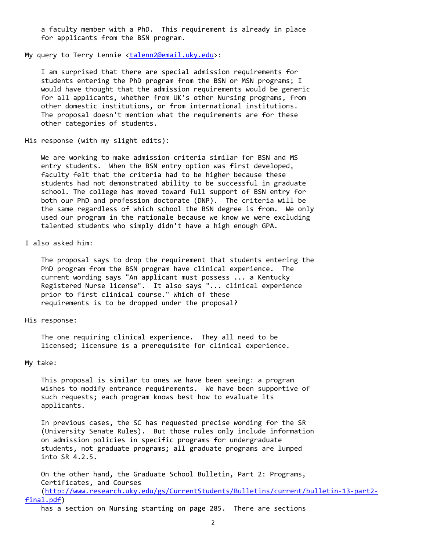a faculty member with a PhD. This requirement is already in place for applicants from the BSN program.

My query to Terry Lennie <talenn2@email.uky.edu>:

 I am surprised that there are special admission requirements for students entering the PhD program from the BSN or MSN programs; I would have thought that the admission requirements would be generic for all applicants, whether from UK's other Nursing programs, from other domestic institutions, or from international institutions. The proposal doesn't mention what the requirements are for these other categories of students.

```
His response (with my slight edits):
```
 We are working to make admission criteria similar for BSN and MS entry students. When the BSN entry option was first developed, faculty felt that the criteria had to be higher because these students had not demonstrated ability to be successful in graduate school. The college has moved toward full support of BSN entry for both our PhD and profession doctorate (DNP). The criteria will be the same regardless of which school the BSN degree is from. We only used our program in the rationale because we know we were excluding talented students who simply didn't have a high enough GPA.

I also asked him:

 The proposal says to drop the requirement that students entering the PhD program from the BSN program have clinical experience. The current wording says "An applicant must possess ... a Kentucky Registered Nurse license". It also says "... clinical experience prior to first clinical course." Which of these requirements is to be dropped under the proposal?

### His response:

 The one requiring clinical experience. They all need to be licensed; licensure is a prerequisite for clinical experience.

### My take:

 This proposal is similar to ones we have been seeing: a program wishes to modify entrance requirements. We have been supportive of such requests; each program knows best how to evaluate its applicants.

 In previous cases, the SC has requested precise wording for the SR (University Senate Rules). But those rules only include information on admission policies in specific programs for undergraduate students, not graduate programs; all graduate programs are lumped into SR 4.2.5.

 On the other hand, the Graduate School Bulletin, Part 2: Programs, Certificates, and Courses (http://www.research.uky.edu/gs/CurrentStudents/Bulletins/current/bulletin‐13‐part2‐

#### final.pdf)

has a section on Nursing starting on page 285. There are sections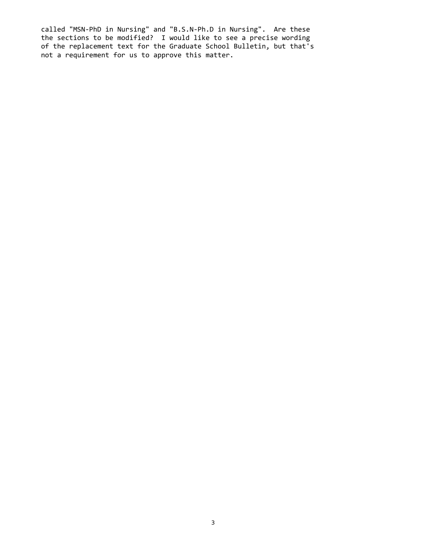called "MSN‐PhD in Nursing" and "B.S.N‐Ph.D in Nursing". Are these the sections to be modified? I would like to see a precise wording of the replacement text for the Graduate School Bulletin, but that's not a requirement for us to approve this matter.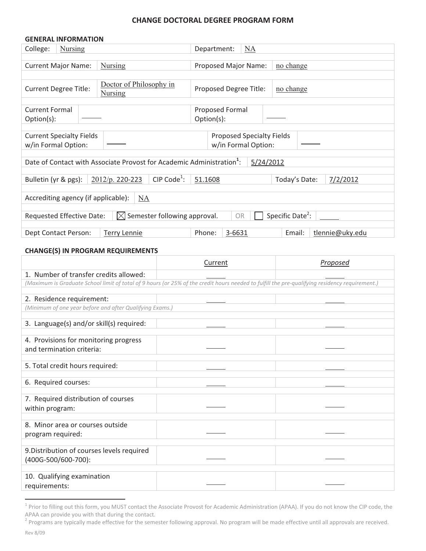## **CHANGE DOCTORAL DEGREE PROGRAM FORM**

| <b>GENERAL INFORMATION</b>                                                                                        |                                           |                                 |           |
|-------------------------------------------------------------------------------------------------------------------|-------------------------------------------|---------------------------------|-----------|
| College:<br><b>Nursing</b>                                                                                        |                                           | Department:<br>$\underline{NA}$ |           |
|                                                                                                                   |                                           |                                 |           |
| <b>Current Major Name:</b>                                                                                        | <b>Nursing</b>                            | Proposed Major Name:            | no change |
|                                                                                                                   |                                           |                                 |           |
| <b>Current Degree Title:</b>                                                                                      | Doctor of Philosophy in<br><b>Nursing</b> | Proposed Degree Title:          | no change |
| <b>Current Formal</b>                                                                                             |                                           | <b>Proposed Formal</b>          |           |
| $Option(s)$ :                                                                                                     |                                           | Option(s):                      |           |
| <b>Current Specialty Fields</b><br><b>Proposed Specialty Fields</b><br>w/in Formal Option:<br>w/in Formal Option: |                                           |                                 |           |
| Date of Contact with Associate Provost for Academic Administration <sup>1</sup> :<br>5/24/2012                    |                                           |                                 |           |
| CIP Code <sup>1</sup> :<br>2012/p. 220-223<br>Bulletin (yr & pgs):<br>51.1608<br>Today's Date:<br>7/2/2012        |                                           |                                 |           |
| Accrediting agency (if applicable):<br>NA                                                                         |                                           |                                 |           |
| Specific Date <sup>2</sup> :<br>Semester following approval.<br><b>OR</b><br>Requested Effective Date:<br>IXI     |                                           |                                 |           |
| 3-6631<br><b>Terry Lennie</b><br>Phone:<br>tlennie@uky.edu<br>Dept Contact Person:<br>Email:                      |                                           |                                 |           |

### **CHANGE(S) IN PROGRAM REQUIREMENTS**

|                                                                                                                                                | Current | Proposed |
|------------------------------------------------------------------------------------------------------------------------------------------------|---------|----------|
| 1. Number of transfer credits allowed:                                                                                                         |         |          |
| (Maximum is Graduate School limit of total of 9 hours (or 25% of the credit hours needed to fulfill the pre-qualifying residency requirement.) |         |          |
|                                                                                                                                                |         |          |
| 2. Residence requirement:                                                                                                                      |         |          |
| (Minimum of one year before and after Qualifying Exams.)                                                                                       |         |          |
| 3. Language(s) and/or skill(s) required:                                                                                                       |         |          |
|                                                                                                                                                |         |          |
| 4. Provisions for monitoring progress                                                                                                          |         |          |
| and termination criteria:                                                                                                                      |         |          |
| 5. Total credit hours required:                                                                                                                |         |          |
|                                                                                                                                                |         |          |
| 6. Required courses:                                                                                                                           |         |          |
|                                                                                                                                                |         |          |
| 7. Required distribution of courses                                                                                                            |         |          |
| within program:                                                                                                                                |         |          |
| 8. Minor area or courses outside                                                                                                               |         |          |
| program required:                                                                                                                              |         |          |
|                                                                                                                                                |         |          |
| 9. Distribution of courses levels required                                                                                                     |         |          |
| (400G-500/600-700):                                                                                                                            |         |          |
|                                                                                                                                                |         |          |
| 10. Qualifying examination                                                                                                                     |         |          |
| requirements:                                                                                                                                  |         |          |

 $^{\rm 1}$  Prior to filling out this form, you MUST contact the Associate Provost for Academic Administration (APAA). If you do not know the CIP code, the APAA can provide you with that during the contact.

 $^2$  Programs are typically made effective for the semester following approval. No program will be made effective until all approvals are received.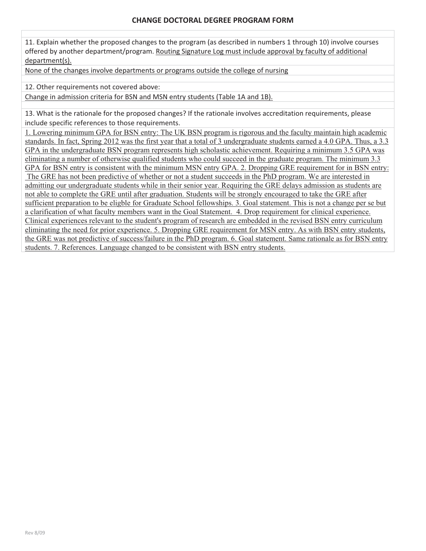11. Explain whether the proposed changes to the program (as described in numbers 1 through 10) involve courses offered by another department/program. Routing Signature Log must include approval by faculty of additional department(s).

None of the changes involve departments or programs outside the college of nursing

12. Other requirements not covered above:

Change in admission criteria for BSN and MSN entry students (Table 1A and 1B).

13. What is the rationale for the proposed changes? If the rationale involves accreditation requirements, please include specific references to those requirements.

1. Lowering minimum GPA for BSN entry: The UK BSN program is rigorous and the faculty maintain high academic standards. In fact, Spring 2012 was the first year that a total of 3 undergraduate students earned a 4.0 GPA. Thus, a 3.3 GPA in the undergraduate BSN program represents high scholastic achievement. Requiring a minimum 3.5 GPA was eliminating a number of otherwise qualified students who could succeed in the graduate program. The minimum 3.3

GPA for BSN entry is consistent with the minimum MSN entry GPA. 2. Dropping GRE requirement for in BSN entry: The GRE has not been predictive of whether or not a student succeeds in the PhD program. We are interested in admitting our undergraduate students while in their senior year. Requiring the GRE delays admission as students are not able to complete the GRE until after graduation. Students will be strongly encouraged to take the GRE after sufficient preparation to be eligble for Graduate School fellowships. 3. Goal statement. This is not a change per se but a clarification of what faculty members want in the Goal Statement. 4. Drop requirement for clinical experience. Clinical experiences relevant to the student's program of research are embedded in the revised BSN entry curriculum eliminating the need for prior experience. 5. Dropping GRE requirement for MSN entry. As with BSN entry students, the GRE was not predictive of success/failure in the PhD program. 6. Goal statement. Same rationale as for BSN entry students. 7. References. Language changed to be consistent with BSN entry students.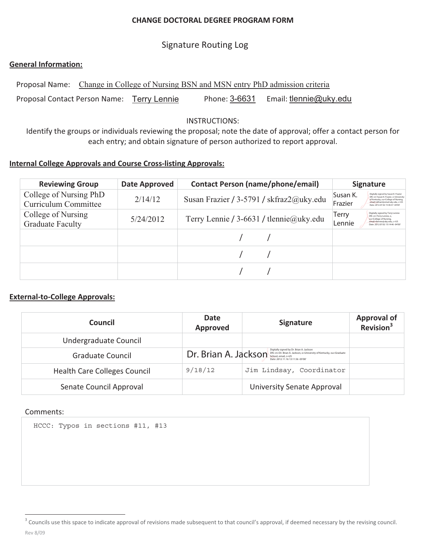# **CHANGE DOCTORAL DEGREE PROGRAM FORM**

# Signature Routing Log

# **General Information:**

Proposal Name: Change in College of Nursing BSN and MSN entry PhD admission criteria Proposal Contact Person Name: Terry Lennie Phone: Phone: 3-6631 Email: tlennie@uky.edu

# INSTRUCTIONS:

Identify the groups or individuals reviewing the proposal; note the date of approval; offer a contact person for each entry; and obtain signature of person authorized to report approval.

# **Internal College Approvals and Course Cross-listing Approvals:**

| <b>Reviewing Group</b>                         | Date Approved | <b>Contact Person (name/phone/email)</b> | <b>Signature</b>                                                                                                                                                                                                     |
|------------------------------------------------|---------------|------------------------------------------|----------------------------------------------------------------------------------------------------------------------------------------------------------------------------------------------------------------------|
| College of Nursing PhD<br>Curriculum Committee | 2/14/12       | Susan Frazier / 3-5791 / skfraz2@uky.edu | Susan K.<br>Digitally signed by Susan K. Frazier<br>DN: cn=Susan K. Frazier, o=University<br>of Kentucky, ou=College of Nursing,<br>Frazier<br>email=skfraz2@email.ukv.edu.c=US<br>Date: 2012.07.02 15:46:37 -04'00" |
| College of Nursing<br><b>Graduate Faculty</b>  | 5/24/2012     | Terry Lennie / 3-6631 / tlennie@uky.edu  | Digitally signed by Terry Lennie<br>Terry<br>DN: cn=Terry Lennie, o<br>ou=College of Nursing.<br>email=tlennie@uky.edu, c=US<br>Lennie<br>Date: 2012.07.02 15:14:46 -04'00"                                          |
|                                                |               |                                          |                                                                                                                                                                                                                      |
|                                                |               |                                          |                                                                                                                                                                                                                      |
|                                                |               |                                          |                                                                                                                                                                                                                      |

# **External-to-College Approvals:**

| <b>Council</b>                      | <b>Date</b><br><b>Approved</b> | <b>Signature</b>                                                                                                                                                           | <b>Approval of</b><br>$\overline{\phantom{a}}$ Revision <sup>3</sup> |
|-------------------------------------|--------------------------------|----------------------------------------------------------------------------------------------------------------------------------------------------------------------------|----------------------------------------------------------------------|
| Undergraduate Council               |                                |                                                                                                                                                                            |                                                                      |
| Graduate Council                    | Dr. Brian A. Jackson           | Digitally signed by Dr. Brian A. Jackson<br>DN: cn=Dr. Brian A. Jackson, o=University of Kentucky, ou=Graduate<br>School, email, c=US<br>Date: 2012.11.16 13:11:56 -05'00' |                                                                      |
| <b>Health Care Colleges Council</b> | 9/18/12                        | Jim Lindsay, Coordinator                                                                                                                                                   |                                                                      |
| Senate Council Approval             |                                | University Senate Approval                                                                                                                                                 |                                                                      |

## Comments:

HCCC: Typos in sections #11, #13

Rev-8/09- <sup>3</sup> Councils use this space to indicate approval of revisions made subsequent to that council's approval, if deemed necessary by the revising council.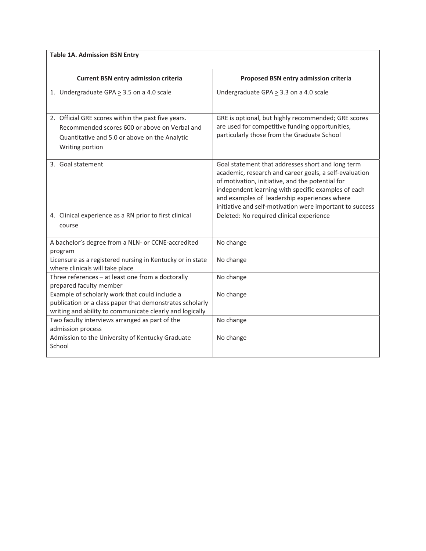| <b>Table 1A. Admission BSN Entry</b>                                                                                                                                    |                                                                                                                                                                                                                                                                                                                                    |
|-------------------------------------------------------------------------------------------------------------------------------------------------------------------------|------------------------------------------------------------------------------------------------------------------------------------------------------------------------------------------------------------------------------------------------------------------------------------------------------------------------------------|
| <b>Current BSN entry admission criteria</b>                                                                                                                             | Proposed BSN entry admission criteria                                                                                                                                                                                                                                                                                              |
| 1. Undergraduate GPA $\geq$ 3.5 on a 4.0 scale                                                                                                                          | Undergraduate GPA $\geq$ 3.3 on a 4.0 scale                                                                                                                                                                                                                                                                                        |
| 2. Official GRE scores within the past five years.<br>Recommended scores 600 or above on Verbal and<br>Quantitative and 5.0 or above on the Analytic<br>Writing portion | GRE is optional, but highly recommended; GRE scores<br>are used for competitive funding opportunities,<br>particularly those from the Graduate School                                                                                                                                                                              |
| 3. Goal statement                                                                                                                                                       | Goal statement that addresses short and long term<br>academic, research and career goals, a self-evaluation<br>of motivation, initiative, and the potential for<br>independent learning with specific examples of each<br>and examples of leadership experiences where<br>initiative and self-motivation were important to success |
| 4. Clinical experience as a RN prior to first clinical<br>course                                                                                                        | Deleted: No required clinical experience                                                                                                                                                                                                                                                                                           |
| A bachelor's degree from a NLN- or CCNE-accredited<br>program                                                                                                           | No change                                                                                                                                                                                                                                                                                                                          |
| Licensure as a registered nursing in Kentucky or in state<br>where clinicals will take place                                                                            | No change                                                                                                                                                                                                                                                                                                                          |
| Three references $-$ at least one from a doctorally<br>prepared faculty member                                                                                          | No change                                                                                                                                                                                                                                                                                                                          |
| Example of scholarly work that could include a<br>publication or a class paper that demonstrates scholarly<br>writing and ability to communicate clearly and logically  | No change                                                                                                                                                                                                                                                                                                                          |
| Two faculty interviews arranged as part of the<br>admission process                                                                                                     | No change                                                                                                                                                                                                                                                                                                                          |
| Admission to the University of Kentucky Graduate<br>School                                                                                                              | No change                                                                                                                                                                                                                                                                                                                          |